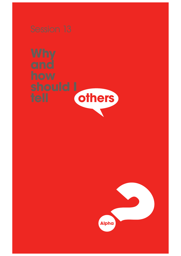

**should I** 



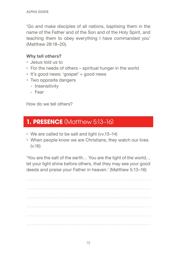'Go and make disciples of all nations, baptising them in the name of the Father and of the Son and of the Holy Spirit, and teaching them to obey everything I have commanded you' (Matthew 28:18–20).

### **Why tell others?**

- Jesus told us to
- For the needs of others spiritual hunger in the world
- It's good news: 'gospel' = good news
- Two opposite dangers
	- Insensitivity
	- Fear

How do we tell others?

# **1. PRESENCE** (Matthew 5:13-16)

- We are called to be salt and light (vv.13–14)
- When people know we are Christians, they watch our lives (v.16)

'You are the salt of the earth… You are the light of the world… let your light shine before others, that they may see your good deeds and praise your Father in heaven.' (Matthew 5:13–16)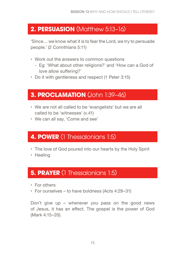# **2. PERSUASION** (Matthew 5:13–16)

'Since… we know what it is to fear the Lord, we try to persuade people.' (2 Corinthians 5:11)

- Work out the answers to common questions
	- Eg: 'What about other religions?' and 'How can a God of love allow suffering?'
- Do it with gentleness and respect (1 Peter 3:15)

# **3. PROCLAMATION** (John 1:39-46)

- We are not all called to be 'evangelists' but we are all called to be 'witnesses' (v.41)
- We can all say, 'Come and see'

## **4. POWER** (1 Thessalonians 1:5)

- The love of God poured into our hearts by the Holy Spirit
- Healing

## **5. PRAYER** (1 Thessalonians 1:5)

- For others
- For ourselves to have boldness (Acts 4:29–31)

Don't give up – whenever you pass on the good news of Jesus, it has an efect. The gospel is the power of God (Mark 4:15–20).